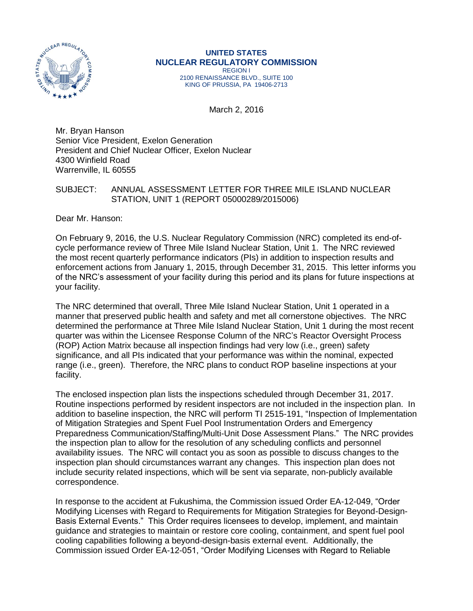

#### **UNITED STATES NUCLEAR REGULATORY COMMISSION** REGION I 2100 RENAISSANCE BLVD., SUITE 100 KING OF PRUSSIA, PA 19406-2713

March 2, 2016

Mr. Bryan Hanson Senior Vice President, Exelon Generation President and Chief Nuclear Officer, Exelon Nuclear 4300 Winfield Road Warrenville, IL 60555

## SUBJECT: ANNUAL ASSESSMENT LETTER FOR THREE MILE ISLAND NUCLEAR STATION, UNIT 1 (REPORT 05000289/2015006)

Dear Mr. Hanson:

On February 9, 2016, the U.S. Nuclear Regulatory Commission (NRC) completed its end-ofcycle performance review of Three Mile Island Nuclear Station, Unit 1. The NRC reviewed the most recent quarterly performance indicators (PIs) in addition to inspection results and enforcement actions from January 1, 2015, through December 31, 2015. This letter informs you of the NRC's assessment of your facility during this period and its plans for future inspections at your facility.

The NRC determined that overall, Three Mile Island Nuclear Station, Unit 1 operated in a manner that preserved public health and safety and met all cornerstone objectives. The NRC determined the performance at Three Mile Island Nuclear Station, Unit 1 during the most recent quarter was within the Licensee Response Column of the NRC's Reactor Oversight Process (ROP) Action Matrix because all inspection findings had very low (i.e., green) safety significance, and all PIs indicated that your performance was within the nominal, expected range (i.e., green). Therefore, the NRC plans to conduct ROP baseline inspections at your facility.

The enclosed inspection plan lists the inspections scheduled through December 31, 2017. Routine inspections performed by resident inspectors are not included in the inspection plan. In addition to baseline inspection, the NRC will perform TI 2515-191, "Inspection of Implementation of Mitigation Strategies and Spent Fuel Pool Instrumentation Orders and Emergency Preparedness Communication/Staffing/Multi-Unit Dose Assessment Plans." The NRC provides the inspection plan to allow for the resolution of any scheduling conflicts and personnel availability issues. The NRC will contact you as soon as possible to discuss changes to the inspection plan should circumstances warrant any changes. This inspection plan does not include security related inspections, which will be sent via separate, non-publicly available correspondence.

In response to the accident at Fukushima, the Commission issued Order EA-12-049, "Order Modifying Licenses with Regard to Requirements for Mitigation Strategies for Beyond-Design-Basis External Events." This Order requires licensees to develop, implement, and maintain guidance and strategies to maintain or restore core cooling, containment, and spent fuel pool cooling capabilities following a beyond-design-basis external event. Additionally, the Commission issued Order EA-12-051, "Order Modifying Licenses with Regard to Reliable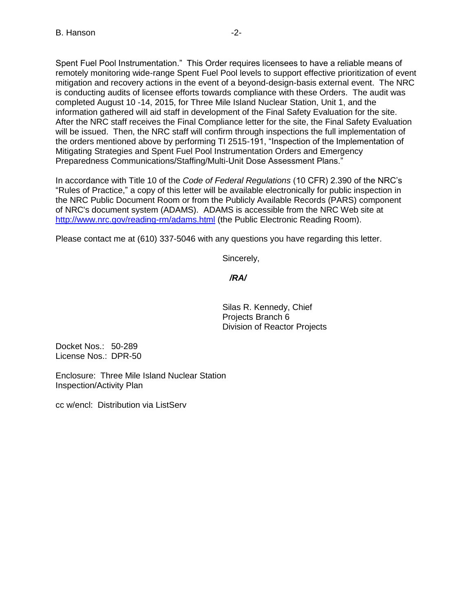Spent Fuel Pool Instrumentation." This Order requires licensees to have a reliable means of remotely monitoring wide-range Spent Fuel Pool levels to support effective prioritization of event mitigation and recovery actions in the event of a beyond-design-basis external event. The NRC is conducting audits of licensee efforts towards compliance with these Orders. The audit was completed August 10 -14, 2015, for Three Mile Island Nuclear Station, Unit 1, and the information gathered will aid staff in development of the Final Safety Evaluation for the site. After the NRC staff receives the Final Compliance letter for the site, the Final Safety Evaluation will be issued. Then, the NRC staff will confirm through inspections the full implementation of the orders mentioned above by performing TI 2515-191, "Inspection of the Implementation of Mitigating Strategies and Spent Fuel Pool Instrumentation Orders and Emergency Preparedness Communications/Staffing/Multi-Unit Dose Assessment Plans."

In accordance with Title 10 of the *Code of Federal Regulations* (10 CFR) 2.390 of the NRC's "Rules of Practice," a copy of this letter will be available electronically for public inspection in the NRC Public Document Room or from the Publicly Available Records (PARS) component of NRC's document system (ADAMS). ADAMS is accessible from the NRC Web site at <http://www.nrc.gov/reading-rm/adams.html> (the Public Electronic Reading Room).

Please contact me at (610) 337-5046 with any questions you have regarding this letter.

Sincerely,

### */RA/*

Silas R. Kennedy, Chief Projects Branch 6 Division of Reactor Projects

Docket Nos.: 50-289 License Nos.: DPR-50

Enclosure: Three Mile Island Nuclear Station Inspection/Activity Plan

cc w/encl: Distribution via ListServ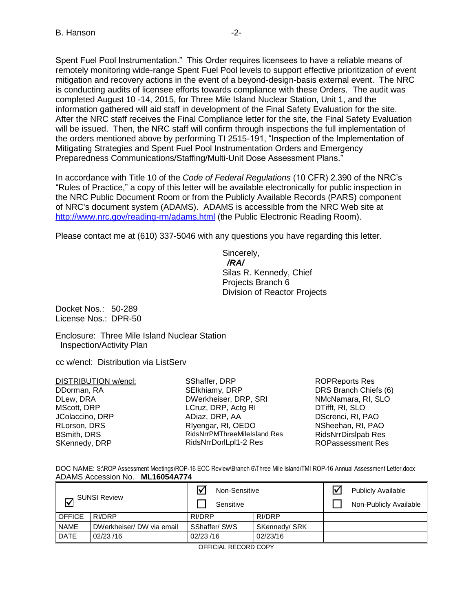Spent Fuel Pool Instrumentation." This Order requires licensees to have a reliable means of remotely monitoring wide-range Spent Fuel Pool levels to support effective prioritization of event mitigation and recovery actions in the event of a beyond-design-basis external event. The NRC is conducting audits of licensee efforts towards compliance with these Orders. The audit was completed August 10 -14, 2015, for Three Mile Island Nuclear Station, Unit 1, and the information gathered will aid staff in development of the Final Safety Evaluation for the site. After the NRC staff receives the Final Compliance letter for the site, the Final Safety Evaluation will be issued. Then, the NRC staff will confirm through inspections the full implementation of the orders mentioned above by performing TI 2515-191, "Inspection of the Implementation of Mitigating Strategies and Spent Fuel Pool Instrumentation Orders and Emergency Preparedness Communications/Staffing/Multi-Unit Dose Assessment Plans."

In accordance with Title 10 of the *Code of Federal Regulations* (10 CFR) 2.390 of the NRC's "Rules of Practice," a copy of this letter will be available electronically for public inspection in the NRC Public Document Room or from the Publicly Available Records (PARS) component of NRC's document system (ADAMS). ADAMS is accessible from the NRC Web site at <http://www.nrc.gov/reading-rm/adams.html> (the Public Electronic Reading Room).

Please contact me at (610) 337-5046 with any questions you have regarding this letter.

Sincerely, */RA/* Silas R. Kennedy, Chief Projects Branch 6 Division of Reactor Projects

Docket Nos.: 50-289 License Nos.: DPR-50

Enclosure: Three Mile Island Nuclear Station Inspection/Activity Plan

cc w/encl: Distribution via ListServ

| DISTRIBUTION w/encl: | SShaffer, DRP                       | <b>ROPReports Res</b>      |
|----------------------|-------------------------------------|----------------------------|
| DDorman, RA          | SElkhiamy, DRP                      | DRS Branch Chiefs (6)      |
| DLew, DRA            | DWerkheiser, DRP, SRI               | NMcNamara, RI, SLO         |
| MScott, DRP          | LCruz, DRP, Actg RI                 | DTifft, RI, SLO            |
| JColaccino, DRP      | ADiaz, DRP, AA                      | DScrenci, RI, PAO          |
| RLorson, DRS         | Riyengar, RI, OEDO                  | NSheehan, RI, PAO          |
| <b>BSmith, DRS</b>   | <b>RidsNrrPMThreeMileIsland Res</b> | <b>RidsNrrDirsIpab Res</b> |
| SKennedy, DRP        | RidsNrrDorlLpl1-2 Res               | <b>ROPassessment Res</b>   |

DOC NAME: S:\ROP Assessment Meetings\ROP-16 EOC Review\Branch 6\Three Mile Island\TMI ROP-16 Annual Assessment Letter.docx ADAMS Accession No. **ML16054A774** 

| l۷            | <b>SUNSI Review</b>       | Non-Sensitive<br>Sensitive |               |  | <b>Publicly Available</b><br>Non-Publicly Available |
|---------------|---------------------------|----------------------------|---------------|--|-----------------------------------------------------|
| <b>OFFICE</b> | RI/DRP                    | RI/DRP                     | RI/DRP        |  |                                                     |
| <b>NAME</b>   | DWerkheiser/ DW via email | SShaffer/SWS               | SKennedy/ SRK |  |                                                     |
| <b>DATE</b>   | 02/23/16                  | 02/23/16                   | 02/23/16      |  |                                                     |

OFFICIAL RECORD COPY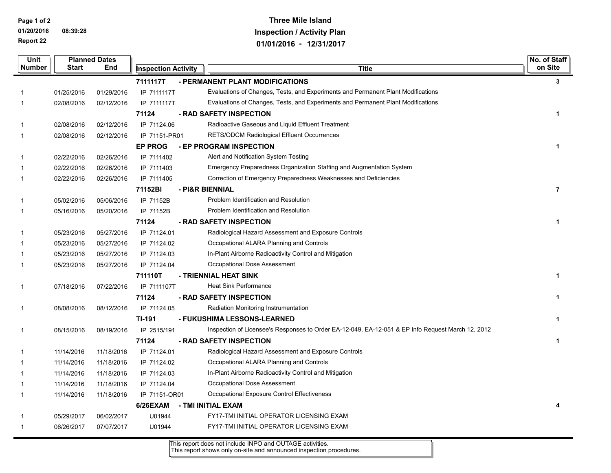**Page 1 of 2 01/20/2016 08:39:28 Report 22**

# **Three Mile Island Inspection / Activity Plan 01/01/2016 - 12/31/2017**

| Unit<br>Number | Start      | <b>Planned Dates</b><br>End | <b>Inspection Activity</b> |                 | Title                                                                                             | No. of Staff<br>on Site  |
|----------------|------------|-----------------------------|----------------------------|-----------------|---------------------------------------------------------------------------------------------------|--------------------------|
|                |            |                             | 7111117T                   |                 | - PERMANENT PLANT MODIFICATIONS                                                                   | 3                        |
|                | 01/25/2016 | 01/29/2016                  | IP 7111117T                |                 | Evaluations of Changes, Tests, and Experiments and Permanent Plant Modifications                  |                          |
| -1             | 02/08/2016 | 02/12/2016                  | IP 7111117T                |                 | Evaluations of Changes, Tests, and Experiments and Permanent Plant Modifications                  |                          |
|                |            |                             | 71124                      |                 | - RAD SAFETY INSPECTION                                                                           | 1                        |
|                | 02/08/2016 | 02/12/2016                  | IP 71124.06                |                 | Radioactive Gaseous and Liquid Effluent Treatment                                                 |                          |
| $\mathbf{1}$   | 02/08/2016 | 02/12/2016                  | IP 71151-PR01              |                 | <b>RETS/ODCM Radiological Effluent Occurrences</b>                                                |                          |
|                |            |                             | <b>EP PROG</b>             |                 | - EP PROGRAM INSPECTION                                                                           | 1                        |
|                | 02/22/2016 | 02/26/2016                  | IP 7111402                 |                 | Alert and Notification System Testing                                                             |                          |
|                | 02/22/2016 | 02/26/2016                  | IP 7111403                 |                 | Emergency Preparedness Organization Staffing and Augmentation System                              |                          |
| -1             | 02/22/2016 | 02/26/2016                  | IP 7111405                 |                 | Correction of Emergency Preparedness Weaknesses and Deficiencies                                  |                          |
|                |            |                             | 71152BI                    | - PI&R BIENNIAL |                                                                                                   | $\overline{\phantom{a}}$ |
|                | 05/02/2016 | 05/06/2016                  | IP 71152B                  |                 | Problem Identification and Resolution                                                             |                          |
| -1             | 05/16/2016 | 05/20/2016                  | IP 71152B                  |                 | Problem Identification and Resolution                                                             |                          |
|                |            |                             | 71124                      |                 | - RAD SAFETY INSPECTION                                                                           | 1                        |
| -1             | 05/23/2016 | 05/27/2016                  | IP 71124.01                |                 | Radiological Hazard Assessment and Exposure Controls                                              |                          |
|                | 05/23/2016 | 05/27/2016                  | IP 71124.02                |                 | Occupational ALARA Planning and Controls                                                          |                          |
|                | 05/23/2016 | 05/27/2016                  | IP 71124.03                |                 | In-Plant Airborne Radioactivity Control and Mitigation                                            |                          |
|                | 05/23/2016 | 05/27/2016                  | IP 71124.04                |                 | Occupational Dose Assessment                                                                      |                          |
|                |            |                             | 711110T                    |                 | - TRIENNIAL HEAT SINK                                                                             | 1                        |
| $\mathbf 1$    | 07/18/2016 | 07/22/2016                  | IP 7111107T                |                 | <b>Heat Sink Performance</b>                                                                      |                          |
|                |            |                             | 71124                      |                 | - RAD SAFETY INSPECTION                                                                           |                          |
| -1             | 08/08/2016 | 08/12/2016                  | IP 71124.05                |                 | Radiation Monitoring Instrumentation                                                              |                          |
|                |            |                             | TI-191                     |                 | - FUKUSHIMA LESSONS-LEARNED                                                                       |                          |
| $\mathbf 1$    | 08/15/2016 | 08/19/2016                  | IP 2515/191                |                 | Inspection of Licensee's Responses to Order EA-12-049, EA-12-051 & EP Info Request March 12, 2012 |                          |
|                |            |                             | 71124                      |                 | - RAD SAFETY INSPECTION                                                                           | 1                        |
|                | 11/14/2016 | 11/18/2016                  | IP 71124.01                |                 | Radiological Hazard Assessment and Exposure Controls                                              |                          |
|                | 11/14/2016 | 11/18/2016                  | IP 71124.02                |                 | Occupational ALARA Planning and Controls                                                          |                          |
|                | 11/14/2016 | 11/18/2016                  | IP 71124.03                |                 | In-Plant Airborne Radioactivity Control and Mitigation                                            |                          |
|                | 11/14/2016 | 11/18/2016                  | IP 71124.04                |                 | Occupational Dose Assessment                                                                      |                          |
| -1             | 11/14/2016 | 11/18/2016                  | IP 71151-OR01              |                 | Occupational Exposure Control Effectiveness                                                       |                          |
|                |            |                             | 6/26EXAM                   |                 | - TMI INITIAL EXAM                                                                                | 4                        |
|                | 05/29/2017 | 06/02/2017                  | U01944                     |                 | FY17-TMI INITIAL OPERATOR LICENSING EXAM                                                          |                          |
|                | 06/26/2017 | 07/07/2017                  | U01944                     |                 | FY17-TMI INITIAL OPERATOR LICENSING EXAM                                                          |                          |

This report does not include INPO and OUTAGE activities.

This report shows only on-site and announced inspection procedures.